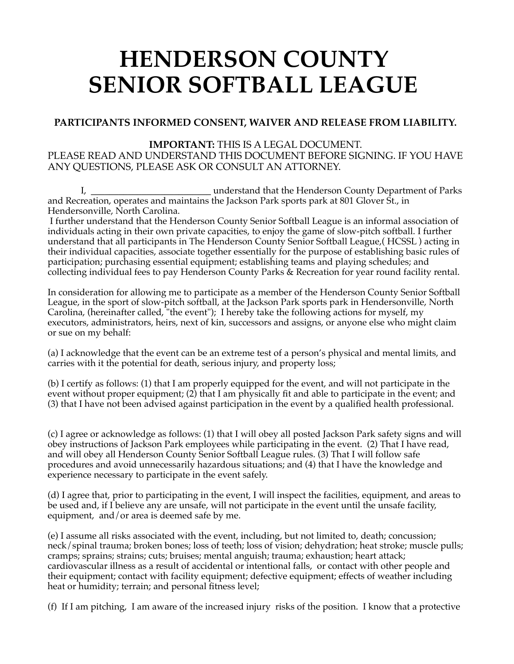## **HENDERSON COUNTY SENIOR SOFTBALL LEAGUE**

## **PARTICIPANTS INFORMED CONSENT, WAIVER AND RELEASE FROM LIABILITY.**

## **IMPORTANT:** THIS IS A LEGAL DOCUMENT.

PLEASE READ AND UNDERSTAND THIS DOCUMENT BEFORE SIGNING. IF YOU HAVE ANY QUESTIONS, PLEASE ASK OR CONSULT AN ATTORNEY.

 I, **\_\_\_\_\_\_\_\_\_\_\_\_\_\_\_\_\_\_\_\_\_\_\_\_\_\_** understand that the Henderson County Department of Parks and Recreation, operates and maintains the Jackson Park sports park at 801 Glover St., in Hendersonville, North Carolina.

I further understand that the Henderson County Senior Softball League is an informal association of individuals acting in their own private capacities, to enjoy the game of slow-pitch softball. I further understand that all participants in The Henderson County Senior Softball League,( HCSSL ) acting in their individual capacities, associate together essentially for the purpose of establishing basic rules of participation; purchasing essential equipment; establishing teams and playing schedules; and collecting individual fees to pay Henderson County Parks & Recreation for year round facility rental.

In consideration for allowing me to participate as a member of the Henderson County Senior Softball League, in the sport of slow-pitch softball, at the Jackson Park sports park in Hendersonville, North Carolina, (hereinafter called, "the event"); I hereby take the following actions for myself, my executors, administrators, heirs, next of kin, successors and assigns, or anyone else who might claim or sue on my behalf:

(a) I acknowledge that the event can be an extreme test of a person's physical and mental limits, and carries with it the potential for death, serious injury, and property loss;

(b) I certify as follows: (1) that I am properly equipped for the event, and will not participate in the event without proper equipment; (2) that I am physically fit and able to participate in the event; and (3) that I have not been advised against participation in the event by a qualified health professional.

(c) I agree or acknowledge as follows: (1) that I will obey all posted Jackson Park safety signs and will obey instructions of Jackson Park employees while participating in the event. (2) That I have read, and will obey all Henderson County Senior Softball League rules. (3) That I will follow safe procedures and avoid unnecessarily hazardous situations; and (4) that I have the knowledge and experience necessary to participate in the event safely.

(d) I agree that, prior to participating in the event, I will inspect the facilities, equipment, and areas to be used and, if I believe any are unsafe, will not participate in the event until the unsafe facility, equipment, and/or area is deemed safe by me.

(e) I assume all risks associated with the event, including, but not limited to, death; concussion; neck/spinal trauma; broken bones; loss of teeth; loss of vision; dehydration; heat stroke; muscle pulls; cramps; sprains; strains; cuts; bruises; mental anguish; trauma; exhaustion; heart attack; cardiovascular illness as a result of accidental or intentional falls, or contact with other people and their equipment; contact with facility equipment; defective equipment; effects of weather including heat or humidity; terrain; and personal fitness level;

(f) If I am pitching, I am aware of the increased injury risks of the position. I know that a protective